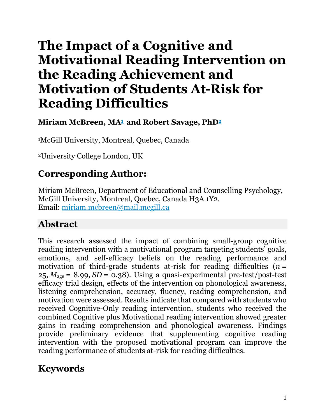# **The Impact of a Cognitive and Motivational Reading Intervention on the Reading Achievement and Motivation of Students At-Risk for Reading Difficulties**

### **Miriam McBreen, MA[1](https://emxpert.net/sageedit/journals/Embox/Index/958128#aff1) and Robert Savage, PhD[2](https://emxpert.net/sageedit/journals/Embox/Index/958128#aff2)**

<sup>1</sup>McGill University, Montreal, Quebec, Canada

<sup>2</sup>University College London, UK

# **Corresponding Author:**

Miriam McBreen, Department of Educational and Counselling Psychology, McGill University, Montreal, Quebec, Canada H3A 1Y2. Email: [miriam.mcbreen@mail.mcgill.ca](mailto:miriam.mcbreen@mail.mcgill.ca)

# **Abstract**

This research assessed the impact of combining small-group cognitive reading intervention with a motivational program targeting students' goals, emotions, and self-efficacy beliefs on the reading performance and motivation of third-grade students at-risk for reading difficulties  $(n =$  $25$ ,  $M_{\text{age}} = 8.99$ ,  $SD = 0.38$ ). Using a quasi-experimental pre-test/post-test efficacy trial design, effects of the intervention on phonological awareness, listening comprehension, accuracy, fluency, reading comprehension, and motivation were assessed. Results indicate that compared with students who received Cognitive-Only reading intervention, students who received the combined Cognitive plus Motivational reading intervention showed greater gains in reading comprehension and phonological awareness. Findings provide preliminary evidence that supplementing cognitive reading intervention with the proposed motivational program can improve the reading performance of students at-risk for reading difficulties.

# **Keywords**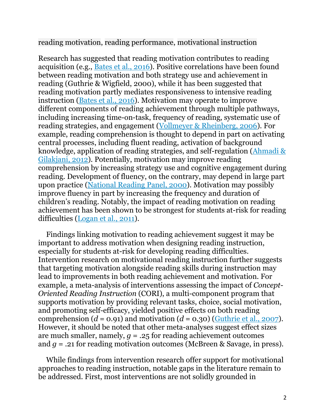#### reading motivation, reading performance, motivational instruction

Research has suggested that reading motivation contributes to reading acquisition (e.g., [Bates et al., 2016\)](https://emxpert.net/sageedit/journals/Embox/Index/958128#bibr3). Positive correlations have been found between reading motivation and both strategy use and achievement in reading (Guthrie & Wigfield, 2000), while it has been suggested that reading motivation partly mediates responsiveness to intensive reading instruction [\(Bates et al., 2016\)](https://emxpert.net/sageedit/journals/Embox/Index/958128#bibr3). Motivation may operate to improve different components of reading achievement through multiple pathways, including increasing time-on-task, frequency of reading, systematic use of reading strategies, and engagement [\(Vollmeyer & Rheinberg, 2006\)](https://emxpert.net/sageedit/journals/Embox/Index/958128#bibr25). For example, reading comprehension is thought to depend in part on activating central processes, including fluent reading, activation of background knowledge, application of reading strategies, and self-regulation [\(Ahmadi &](https://emxpert.net/sageedit/journals/Embox/Index/958128#bibr1)  [Gilakjani, 2012\)](https://emxpert.net/sageedit/journals/Embox/Index/958128#bibr1). Potentially, motivation may improve reading comprehension by increasing strategy use and cognitive engagement during reading. Development of fluency, on the contrary, may depend in large part upon practice [\(National Reading Panel, 2000\)](https://emxpert.net/sageedit/journals/Embox/Index/958128#bibr17). Motivation may possibly improve fluency in part by increasing the frequency and duration of children's reading. Notably, the impact of reading motivation on reading achievement has been shown to be strongest for students at-risk for reading difficulties [\(Logan et al., 2011\)](https://emxpert.net/sageedit/journals/Embox/Index/958128#bibr12).

Findings linking motivation to reading achievement suggest it may be important to address motivation when designing reading instruction, especially for students at-risk for developing reading difficulties. Intervention research on motivational reading instruction further suggests that targeting motivation alongside reading skills during instruction may lead to improvements in both reading achievement and motivation. For example, a meta-analysis of interventions assessing the impact of *Concept-Oriented Reading Instruction* (CORI), a multi-component program that supports motivation by providing relevant tasks, choice, social motivation, and promoting self-efficacy, yielded positive effects on both reading comprehension  $(d = 0.91)$  and motivation  $(d = 0.30)$  [\(Guthrie et al., 2007\)](https://emxpert.net/sageedit/journals/Embox/Index/958128#bibr6). However, it should be noted that other meta-analyses suggest effect sizes are much smaller, namely,  $q = 0.25$  for reading achievement outcomes and  $q = .21$  for reading motivation outcomes (McBreen & Savage, in press).

While findings from intervention research offer support for motivational approaches to reading instruction, notable gaps in the literature remain to be addressed. First, most interventions are not solidly grounded in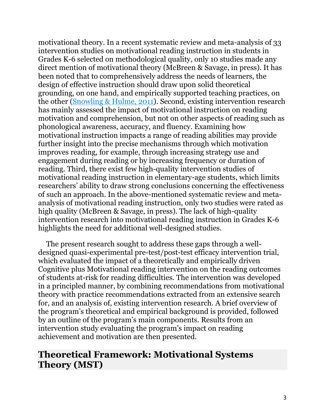motivational theory. In a recent systematic review and meta-analysis of 33 intervention studies on motivational reading instruction in students in Grades K-6 selected on methodological quality, only 10 studies made any direct mention of motivational theory (McBreen & Savage, in press). It has been noted that to comprehensively address the needs of learners, the design of effective instruction should draw upon solid theoretical grounding, on one hand, and empirically supported teaching practices, on the other [\(Snowling & Hulme, 2011\)](https://emxpert.net/sageedit/journals/Embox/Index/958128#bibr23). Second, existing intervention research has mainly assessed the impact of motivational instruction on reading motivation and comprehension, but not on other aspects of reading such as phonological awareness, accuracy, and fluency. Examining how motivational instruction impacts a range of reading abilities may provide further insight into the precise mechanisms through which motivation improves reading, for example, through increasing strategy use and engagement during reading or by increasing frequency or duration of reading. Third, there exist few high-quality intervention studies of motivational reading instruction in elementary-age students, which limits researchers' ability to draw strong conclusions concerning the effectiveness of such an approach. In the above-mentioned systematic review and metaanalysis of motivational reading instruction, only two studies were rated as high quality (McBreen & Savage, in press). The lack of high-quality intervention research into motivational reading instruction in Grades K-6 highlights the need for additional well-designed studies.

The present research sought to address these gaps through a welldesigned quasi-experimental pre-test/post-test efficacy intervention trial, which evaluated the impact of a theoretically and empirically driven Cognitive plus Motivational reading intervention on the reading outcomes of students at-risk for reading difficulties. The intervention was developed in a principled manner, by combining recommendations from motivational theory with practice recommendations extracted from an extensive search for, and an analysis of, existing intervention research. A brief overview of the program's theoretical and empirical background is provided, followed by an outline of the program's main components. Results from an intervention study evaluating the program's impact on reading achievement and motivation are then presented.

### **Theoretical Framework: Motivational Systems Theory (MST)**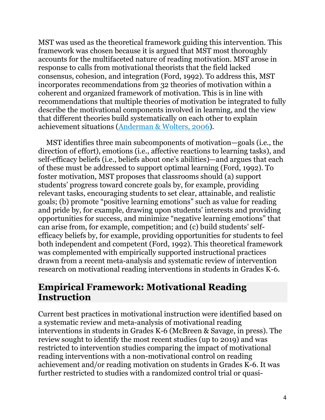MST was used as the theoretical framework guiding this intervention. This framework was chosen because it is argued that MST most thoroughly accounts for the multifaceted nature of reading motivation. MST arose in response to calls from motivational theorists that the field lacked consensus, cohesion, and integration (Ford, 1992). To address this, MST incorporates recommendations from 32 theories of motivation within a coherent and organized framework of motivation. This is in line with recommendations that multiple theories of motivation be integrated to fully describe the motivational components involved in learning, and the view that different theories build systematically on each other to explain achievement situations [\(Anderman & Wolters, 2006\)](https://emxpert.net/sageedit/journals/Embox/Index/958128#bibr2).

MST identifies three main subcomponents of motivation—goals (i.e., the direction of effort), emotions (i.e., affective reactions to learning tasks), and self-efficacy beliefs (i.e., beliefs about one's abilities)—and argues that each of these must be addressed to support optimal learning (Ford, 1992). To foster motivation, MST proposes that classrooms should (a) support students' progress toward concrete goals by, for example, providing relevant tasks, encouraging students to set clear, attainable, and realistic goals; (b) promote "positive learning emotions" such as value for reading and pride by, for example, drawing upon students' interests and providing opportunities for success, and minimize "negative learning emotions" that can arise from, for example, competition; and (c) build students' selfefficacy beliefs by, for example, providing opportunities for students to feel both independent and competent (Ford, 1992). This theoretical framework was complemented with empirically supported instructional practices drawn from a recent meta-analysis and systematic review of intervention research on motivational reading interventions in students in Grades K-6.

### **Empirical Framework: Motivational Reading Instruction**

Current best practices in motivational instruction were identified based on a systematic review and meta-analysis of motivational reading interventions in students in Grades K-6 (McBreen & Savage, in press). The review sought to identify the most recent studies (up to 2019) and was restricted to intervention studies comparing the impact of motivational reading interventions with a non-motivational control on reading achievement and/or reading motivation on students in Grades K-6. It was further restricted to studies with a randomized control trial or quasi-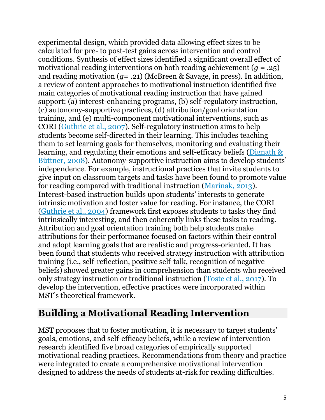experimental design, which provided data allowing effect sizes to be calculated for pre- to post-test gains across intervention and control conditions. Synthesis of effect sizes identified a significant overall effect of motivational reading interventions on both reading achievement  $(q = .25)$ and reading motivation (*g*= .21) (McBreen & Savage, in press). In addition, a review of content approaches to motivational instruction identified five main categories of motivational reading instruction that have gained support: (a) interest-enhancing programs, (b) self-regulatory instruction, (c) autonomy-supportive practices, (d) attribution/goal orientation training, and (e) multi-component motivational interventions, such as CORI [\(Guthrie et al., 2007\)](https://emxpert.net/sageedit/journals/Embox/Index/958128#bibr6). Self-regulatory instruction aims to help students become self-directed in their learning. This includes teaching them to set learning goals for themselves, monitoring and evaluating their learning, and regulating their emotions and self-efficacy beliefs [\(Dignath &](https://emxpert.net/sageedit/journals/Embox/Index/958128#bibr5)  [Büttner, 2008\)](https://emxpert.net/sageedit/journals/Embox/Index/958128#bibr5). Autonomy-supportive instruction aims to develop students' independence. For example, instructional practices that invite students to give input on classroom targets and tasks have been found to promote value for reading compared with traditional instruction [\(Marinak, 2013\)](https://emxpert.net/sageedit/journals/Embox/Index/958128#bibr14). Interest-based instruction builds upon students' interests to generate intrinsic motivation and foster value for reading. For instance, the CORI [\(Guthrie et al., 2004\)](https://emxpert.net/sageedit/journals/Embox/Index/958128#bibr7) framework first exposes students to tasks they find intrinsically interesting, and then coherently links these tasks to reading. Attribution and goal orientation training both help students make attributions for their performance focused on factors within their control and adopt learning goals that are realistic and progress-oriented. It has been found that students who received strategy instruction with attribution training (i.e., self-reflection, positive self-talk, recognition of negative beliefs) showed greater gains in comprehension than students who received only strategy instruction or traditional instruction [\(Toste et al., 2017\)](https://emxpert.net/sageedit/journals/Embox/Index/958128#bibr24). To develop the intervention, effective practices were incorporated within MST's theoretical framework.

# **Building a Motivational Reading Intervention**

MST proposes that to foster motivation, it is necessary to target students' goals, emotions, and self-efficacy beliefs, while a review of intervention research identified five broad categories of empirically supported motivational reading practices. Recommendations from theory and practice were integrated to create a comprehensive motivational intervention designed to address the needs of students at-risk for reading difficulties.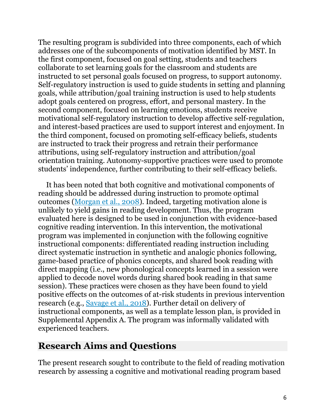The resulting program is subdivided into three components, each of which addresses one of the subcomponents of motivation identified by MST. In the first component, focused on goal setting, students and teachers collaborate to set learning goals for the classroom and students are instructed to set personal goals focused on progress, to support autonomy. Self-regulatory instruction is used to guide students in setting and planning goals, while attribution/goal training instruction is used to help students adopt goals centered on progress, effort, and personal mastery. In the second component, focused on learning emotions, students receive motivational self-regulatory instruction to develop affective self-regulation, and interest-based practices are used to support interest and enjoyment. In the third component, focused on promoting self-efficacy beliefs, students are instructed to track their progress and retrain their performance attributions, using self-regulatory instruction and attribution/goal orientation training. Autonomy-supportive practices were used to promote students' independence, further contributing to their self-efficacy beliefs.

It has been noted that both cognitive and motivational components of reading should be addressed during instruction to promote optimal outcomes [\(Morgan et al., 2008\)](https://emxpert.net/sageedit/journals/Embox/Index/958128#bibr16). Indeed, targeting motivation alone is unlikely to yield gains in reading development. Thus, the program evaluated here is designed to be used in conjunction with evidence-based cognitive reading intervention. In this intervention, the motivational program was implemented in conjunction with the following cognitive instructional components: differentiated reading instruction including direct systematic instruction in synthetic and analogic phonics following, game-based practice of phonics concepts, and shared book reading with direct mapping (i.e., new phonological concepts learned in a session were applied to decode novel words during shared book reading in that same session). These practices were chosen as they have been found to yield positive effects on the outcomes of at-risk students in previous intervention research (e.g., [Savage et al., 2018\)](https://emxpert.net/sageedit/journals/Embox/Index/958128#bibr21). Further detail on delivery of instructional components, as well as a template lesson plan, is provided in Supplemental Appendix A. The program was informally validated with experienced teachers.

### **Research Aims and Questions**

The present research sought to contribute to the field of reading motivation research by assessing a cognitive and motivational reading program based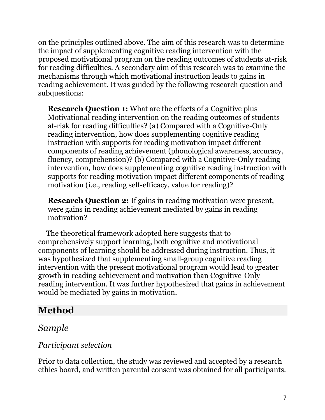on the principles outlined above. The aim of this research was to determine the impact of supplementing cognitive reading intervention with the proposed motivational program on the reading outcomes of students at-risk for reading difficulties. A secondary aim of this research was to examine the mechanisms through which motivational instruction leads to gains in reading achievement. It was guided by the following research question and subquestions:

**Research Question 1:** What are the effects of a Cognitive plus Motivational reading intervention on the reading outcomes of students at-risk for reading difficulties? (a) Compared with a Cognitive-Only reading intervention, how does supplementing cognitive reading instruction with supports for reading motivation impact different components of reading achievement (phonological awareness, accuracy, fluency, comprehension)? (b) Compared with a Cognitive-Only reading intervention, how does supplementing cognitive reading instruction with supports for reading motivation impact different components of reading motivation (i.e., reading self-efficacy, value for reading)?

**Research Question 2:** If gains in reading motivation were present, were gains in reading achievement mediated by gains in reading motivation?

The theoretical framework adopted here suggests that to comprehensively support learning, both cognitive and motivational components of learning should be addressed during instruction. Thus, it was hypothesized that supplementing small-group cognitive reading intervention with the present motivational program would lead to greater growth in reading achievement and motivation than Cognitive-Only reading intervention. It was further hypothesized that gains in achievement would be mediated by gains in motivation.

# **Method**

# *Sample*

### *Participant selection*

Prior to data collection, the study was reviewed and accepted by a research ethics board, and written parental consent was obtained for all participants.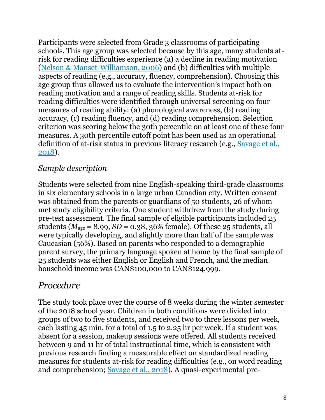Participants were selected from Grade 3 classrooms of participating schools. This age group was selected because by this age, many students atrisk for reading difficulties experience (a) a decline in reading motivation [\(Nelson & Manset-Williamson, 2006\)](https://emxpert.net/sageedit/journals/Embox/Index/958128#bibr18) and (b) difficulties with multiple aspects of reading (e.g., accuracy, fluency, comprehension). Choosing this age group thus allowed us to evaluate the intervention's impact both on reading motivation and a range of reading skills. Students at-risk for reading difficulties were identified through universal screening on four measures of reading ability: (a) phonological awareness, (b) reading accuracy, (c) reading fluency, and (d) reading comprehension. Selection criterion was scoring below the 30th percentile on at least one of these four measures. A 30th percentile cutoff point has been used as an operational definition of at-risk status in previous literacy research (e.g., [Savage et al.,](https://emxpert.net/sageedit/journals/Embox/Index/958128#bibr21)  [2018\)](https://emxpert.net/sageedit/journals/Embox/Index/958128#bibr21).

### *Sample description*

Students were selected from nine English-speaking third-grade classrooms in six elementary schools in a large urban Canadian city. Written consent was obtained from the parents or guardians of 50 students, 26 of whom met study eligibility criteria. One student withdrew from the study during pre-test assessment. The final sample of eligible participants included 25 students ( $M_{\text{age}} = 8.99$ ,  $SD = 0.38$ , 36% female). Of these 25 students, all were typically developing, and slightly more than half of the sample was Caucasian (56%). Based on parents who responded to a demographic parent survey, the primary language spoken at home by the final sample of 25 students was either English or English and French, and the median household income was CAN\$100,000 to CAN\$124,999.

# *Procedure*

The study took place over the course of 8 weeks during the winter semester of the 2018 school year. Children in both conditions were divided into groups of two to five students, and received two to three lessons per week, each lasting 45 min, for a total of 1.5 to 2.25 hr per week. If a student was absent for a session, makeup sessions were offered. All students received between 9 and 11 hr of total instructional time, which is consistent with previous research finding a measurable effect on standardized reading measures for students at-risk for reading difficulties (e.g., on word reading and comprehension; [Savage et al., 2018\)](https://emxpert.net/sageedit/journals/Embox/Index/958128#bibr21). A quasi-experimental pre-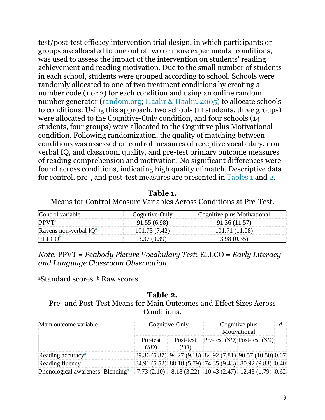test/post-test efficacy intervention trial design, in which participants or groups are allocated to one out of two or more experimental conditions, was used to assess the impact of the intervention on students' reading achievement and reading motivation. Due to the small number of students in each school, students were grouped according to school. Schools were randomly allocated to one of two treatment conditions by creating a number code (1 or 2) for each condition and using an online random number generator [\(random.org;](http://random.org/) [Haahr & Haahr, 2005\)](https://emxpert.net/sageedit/journals/Embox/Index/958128#bibr8) to allocate schools to conditions. Using this approach, two schools (11 students, three groups) were allocated to the Cognitive-Only condition, and four schools (14 students, four groups) were allocated to the Cognitive plus Motivational condition. Following randomization, the quality of matching between conditions was assessed on control measures of receptive vocabulary, nonverbal IQ, and classroom quality, and pre-test primary outcome measures of reading comprehension and motivation. No significant differences were found across conditions, indicating high quality of match. Descriptive data for control, pre-, and post-test measures are presented in [Tables 1](https://emxpert.net/sageedit/journals/Embox/Index/958128#table1) and [2.](https://emxpert.net/sageedit/journals/Embox/Index/958128#table2)

#### **Table 1.**

Means for Control Measure Variables Across Conditions at Pre-Test.

| Control variable         | Cognitive-Only | Cognitive plus Motivational |
|--------------------------|----------------|-----------------------------|
|                          | 91.55 (6.98)   | 91.36 (11.57)               |
| Ravens non-verbal $IQ^a$ | 101.73(7.42)   | 101.71 (11.08)              |
|                          |                |                             |

*Note.* PPVT = *Peabody Picture Vocabulary Test*; ELLCO = *Early Literacy and Language Classroom Observation*.

<sup>a</sup>Standard scores. <sup>b</sup> Raw scores.

#### **Table 2.**

Pre- and Post-Test Means for Main Outcomes and Effect Sizes Across Conditions.

| Main outcome variable                         |          | Cognitive-Only | Cognitive plus<br>Motivational                            |  |  |  |
|-----------------------------------------------|----------|----------------|-----------------------------------------------------------|--|--|--|
|                                               | Pre-test |                | Post-test Pre-test $(SD)$ Post-test $(SD)$                |  |  |  |
|                                               | (SD)     | (SD)           |                                                           |  |  |  |
| Reading accuracy <sup><math>a</math></sup>    |          |                | 89.36 (5.87) 94.27 (9.18) 84.92 (7.81) 90.57 (10.50) 0.07 |  |  |  |
| Reading fluency <sup><math>a</math></sup>     |          |                | 84.91 (5.52) 88.18 (5.79) 74.35 (9.43) 80.92 (9.83) 0.40  |  |  |  |
| Phonological awareness: Blending <sup>b</sup> |          |                | 7.73 (2.10) 8.18 (3.22) 10.43 (2.47) 12.43 (1.79) 0.62    |  |  |  |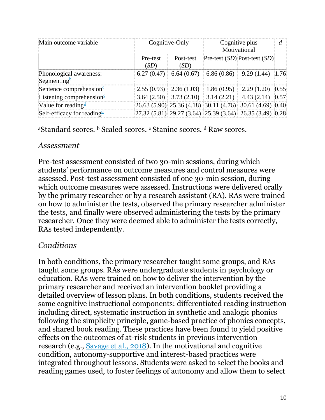| Main outcome variable                                    |                  | Cognitive-Only    | Cognitive plus<br>Motivational |                                                              |  |  |
|----------------------------------------------------------|------------------|-------------------|--------------------------------|--------------------------------------------------------------|--|--|
|                                                          | Pre-test<br>(SD) | Post-test<br>(SD) |                                | Pre-test $(SD)$ Post-test $(SD)$                             |  |  |
| Phonological awareness:<br>Segmenting $\frac{b}{2}$      |                  |                   |                                | 6.27 (0.47) 6.64 (0.67) 6.86 (0.86) 9.29 (1.44) 1.76         |  |  |
| Sentence comprehension $\epsilon$                        |                  |                   |                                | $2.55(0.93)$ $2.36(1.03)$ $1.86(0.95)$ $2.29(1.20)$ $0.55$   |  |  |
| Listening comprehension <sup><math>\epsilon</math></sup> |                  |                   |                                | $3.64(2.50)$ $3.73(2.10)$ $3.14(2.21)$ $4.43(2.14)$ 0.57     |  |  |
| Value for reading $\frac{d}{dx}$                         |                  |                   |                                | $26.63(5.90)$ $25.36(4.18)$ $30.11(4.76)$ $30.61(4.69)$ 0.40 |  |  |
| Self-efficacy for reading $\frac{d}{dx}$                 |                  |                   |                                | $[27.32 (5.81) 29.27 (3.64) 25.39 (3.64) 26.35 (3.49) 0.28]$ |  |  |

aStandard scores. b Scaled scores. c Stanine scores. d Raw scores.

### *Assessment*

Pre-test assessment consisted of two 30-min sessions, during which students' performance on outcome measures and control measures were assessed. Post-test assessment consisted of one 30-min session, during which outcome measures were assessed. Instructions were delivered orally by the primary researcher or by a research assistant (RA). RAs were trained on how to administer the tests, observed the primary researcher administer the tests, and finally were observed administering the tests by the primary researcher. Once they were deemed able to administer the tests correctly, RAs tested independently.

### *Conditions*

In both conditions, the primary researcher taught some groups, and RAs taught some groups. RAs were undergraduate students in psychology or education. RAs were trained on how to deliver the intervention by the primary researcher and received an intervention booklet providing a detailed overview of lesson plans. In both conditions, students received the same cognitive instructional components: differentiated reading instruction including direct, systematic instruction in synthetic and analogic phonics following the simplicity principle, game-based practice of phonics concepts, and shared book reading. These practices have been found to yield positive effects on the outcomes of at-risk students in previous intervention research (e.g., [Savage et al., 2018\)](https://emxpert.net/sageedit/journals/Embox/Index/958128#bibr21). In the motivational and cognitive condition, autonomy-supportive and interest-based practices were integrated throughout lessons. Students were asked to select the books and reading games used, to foster feelings of autonomy and allow them to select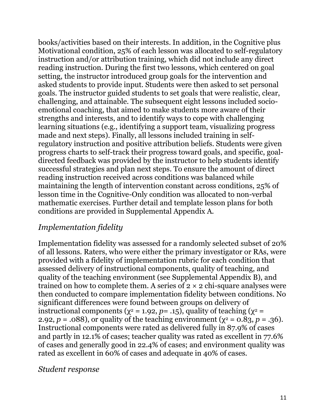books/activities based on their interests. In addition, in the Cognitive plus Motivational condition, 25% of each lesson was allocated to self-regulatory instruction and/or attribution training, which did not include any direct reading instruction. During the first two lessons, which centered on goal setting, the instructor introduced group goals for the intervention and asked students to provide input. Students were then asked to set personal goals. The instructor guided students to set goals that were realistic, clear, challenging, and attainable. The subsequent eight lessons included socioemotional coaching, that aimed to make students more aware of their strengths and interests, and to identify ways to cope with challenging learning situations (e.g., identifying a support team, visualizing progress made and next steps). Finally, all lessons included training in selfregulatory instruction and positive attribution beliefs. Students were given progress charts to self-track their progress toward goals, and specific, goaldirected feedback was provided by the instructor to help students identify successful strategies and plan next steps. To ensure the amount of direct reading instruction received across conditions was balanced while maintaining the length of intervention constant across conditions, 25% of lesson time in the Cognitive-Only condition was allocated to non-verbal mathematic exercises. Further detail and template lesson plans for both conditions are provided in Supplemental Appendix A.

### *Implementation fidelity*

Implementation fidelity was assessed for a randomly selected subset of 20% of all lessons. Raters, who were either the primary investigator or RAs, were provided with a fidelity of implementation rubric for each condition that assessed delivery of instructional components, quality of teaching, and quality of the teaching environment (see Supplemental Appendix B), and trained on how to complete them. A series of  $2 \times 2$  chi-square analyses were then conducted to compare implementation fidelity between conditions. No significant differences were found between groups on delivery of instructional components ( $\chi^2$  = 1.92, *p*= .15), quality of teaching ( $\chi^2$  = 2.92,  $p = .088$ ), or quality of the teaching environment ( $\chi^2 = 0.83$ ,  $p = .36$ ). Instructional components were rated as delivered fully in 87.9% of cases and partly in 12.1% of cases; teacher quality was rated as excellent in 77.6% of cases and generally good in 22.4% of cases; and environment quality was rated as excellent in 60% of cases and adequate in 40% of cases.

#### *Student response*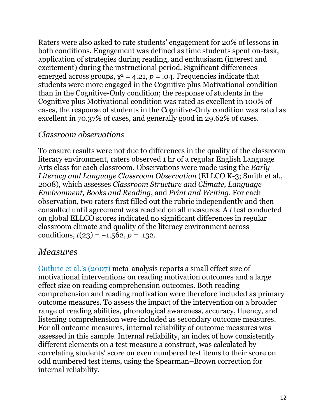Raters were also asked to rate students' engagement for 20% of lessons in both conditions. Engagement was defined as time students spent on-task, application of strategies during reading, and enthusiasm (interest and excitement) during the instructional period. Significant differences emerged across groups,  $\chi^2 = 4.21$ ,  $p = .04$ . Frequencies indicate that students were more engaged in the Cognitive plus Motivational condition than in the Cognitive-Only condition; the response of students in the Cognitive plus Motivational condition was rated as excellent in 100% of cases, the response of students in the Cognitive-Only condition was rated as excellent in 70.37% of cases, and generally good in 29.62% of cases.

### *Classroom observations*

To ensure results were not due to differences in the quality of the classroom literacy environment, raters observed 1 hr of a regular English Language Arts class for each classroom. Observations were made using the *Early Literacy and Language Classroom Observation* (ELLCO K-3; Smith et al., 2008), which assesses *Classroom Structure and Climate, Language Environment, Books and Reading*, and *Print and Writing*. For each observation, two raters first filled out the rubric independently and then consulted until agreement was reached on all measures. A *t* test conducted on global ELLCO scores indicated no significant differences in regular classroom climate and quality of the literacy environment across conditions,  $t(23) = -1.562$ ,  $p = .132$ .

### *Measures*

[Guthrie et al.'s \(2007\)](https://emxpert.net/sageedit/journals/Embox/Index/958128#bibr6) meta-analysis reports a small effect size of motivational interventions on reading motivation outcomes and a large effect size on reading comprehension outcomes. Both reading comprehension and reading motivation were therefore included as primary outcome measures. To assess the impact of the intervention on a broader range of reading abilities, phonological awareness, accuracy, fluency, and listening comprehension were included as secondary outcome measures. For all outcome measures, internal reliability of outcome measures was assessed in this sample. Internal reliability, an index of how consistently different elements on a test measure a construct, was calculated by correlating students' score on even numbered test items to their score on odd numbered test items, using the Spearman–Brown correction for internal reliability.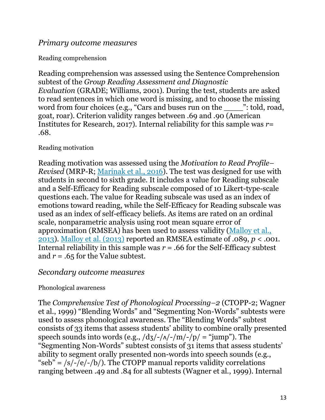#### *Primary outcome measures*

#### Reading comprehension

Reading comprehension was assessed using the Sentence Comprehension subtest of the *Group Reading Assessment and Diagnostic Evaluation* (GRADE; Williams, 2001). During the test, students are asked to read sentences in which one word is missing, and to choose the missing word from four choices (e.g., "Cars and buses run on the \_\_\_\_\_\_": told, road, goat, roar). Criterion validity ranges between .69 and .90 (American Institutes for Research, 2017). Internal reliability for this sample was *r*= .68.

#### Reading motivation

Reading motivation was assessed using the *Motivation to Read Profile– Revised* (MRP-R; [Marinak et al., 2016\)](https://emxpert.net/sageedit/journals/Embox/Index/958128#bibr15). The test was designed for use with students in second to sixth grade. It includes a value for Reading subscale and a Self-Efficacy for Reading subscale composed of 10 Likert-type-scale questions each. The value for Reading subscale was used as an index of emotions toward reading, while the Self-Efficacy for Reading subscale was used as an index of self-efficacy beliefs. As items are rated on an ordinal scale, nonparametric analysis using root mean square error of approximation (RMSEA) has been used to assess validity [\(Malloy et al.,](https://emxpert.net/sageedit/journals/Embox/Index/958128#bibr13)  [2013\)](https://emxpert.net/sageedit/journals/Embox/Index/958128#bibr13). [Malloy et al. \(2013\)](https://emxpert.net/sageedit/journals/Embox/Index/958128#bibr13) reported an RMSEA estimate of .089, *p* < .001. Internal reliability in this sample was  $r = .66$  for the Self-Efficacy subtest and  $r = .65$  for the Value subtest.

#### *Secondary outcome measures*

#### Phonological awareness

The *Comprehensive Test of Phonological Processing–2* (CTOPP-2; Wagner et al., 1999) "Blending Words" and "Segmenting Non-Words" subtests were used to assess phonological awareness. The "Blending Words" subtest consists of 33 items that assess students' ability to combine orally presented speech sounds into words (e.g.,  $\frac{d_3}{-\Lambda}$ -/ $\frac{\Lambda}{-\Lambda}$ -/p/ = "jump"). The "Segmenting Non-Words" subtest consists of 31 items that assess students' ability to segment orally presented non-words into speech sounds (e.g., "seb" =  $\frac{s}{-}$  /s/-/e/-/b/). The CTOPP manual reports validity correlations ranging between .49 and .84 for all subtests (Wagner et al., 1999). Internal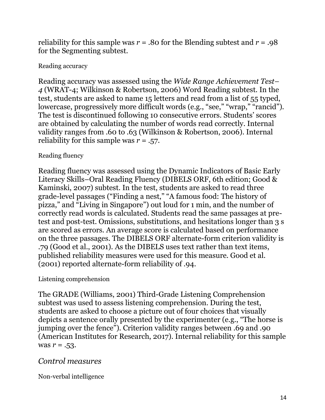reliability for this sample was  $r = .80$  for the Blending subtest and  $r = .98$ for the Segmenting subtest.

#### Reading accuracy

Reading accuracy was assessed using the *Wide Range Achievement Test– 4* (WRAT-4; Wilkinson & Robertson, 2006) Word Reading subtest. In the test, students are asked to name 15 letters and read from a list of 55 typed, lowercase, progressively more difficult words (e.g., "see," "wrap," "rancid"). The test is discontinued following 10 consecutive errors. Students' scores are obtained by calculating the number of words read correctly. Internal validity ranges from .60 to .63 (Wilkinson & Robertson, 2006). Internal reliability for this sample was *r* = .57.

#### Reading fluency

Reading fluency was assessed using the Dynamic Indicators of Basic Early Literacy Skills–Oral Reading Fluency (DIBELS ORF, 6th edition; Good & Kaminski, 2007) subtest. In the test, students are asked to read three grade-level passages ("Finding a nest," "A famous food: The history of pizza," and "Living in Singapore") out loud for 1 min, and the number of correctly read words is calculated. Students read the same passages at pretest and post-test. Omissions, substitutions, and hesitations longer than 3 s are scored as errors. An average score is calculated based on performance on the three passages. The DIBELS ORF alternate-form criterion validity is .79 (Good et al., 2001). As the DIBELS uses text rather than text items, published reliability measures were used for this measure. Good et al. (2001) reported alternate-form reliability of .94.

#### Listening comprehension

The GRADE (Williams, 2001) Third-Grade Listening Comprehension subtest was used to assess listening comprehension. During the test, students are asked to choose a picture out of four choices that visually depicts a sentence orally presented by the experimenter (e.g., "The horse is jumping over the fence"). Criterion validity ranges between .69 and .90 (American Institutes for Research, 2017). Internal reliability for this sample was *r* = .53.

### *Control measures*

Non-verbal intelligence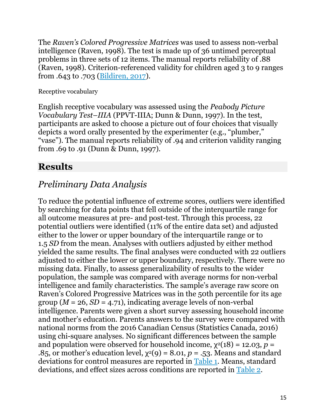The *Raven's Colored Progressive Matrices* was used to assess non-verbal intelligence (Raven, 1998). The test is made up of 36 untimed perceptual problems in three sets of 12 items. The manual reports reliability of .88 (Raven, 1998). Criterion-referenced validity for children aged 3 to 9 ranges from .643 to .703 [\(Bildiren, 2017\)](https://emxpert.net/sageedit/journals/Embox/Index/958128#bibr4).

#### Receptive vocabulary

English receptive vocabulary was assessed using the *Peabody Picture Vocabulary Test–IIIA* (PPVT-IIIA; Dunn & Dunn, 1997). In the test, participants are asked to choose a picture out of four choices that visually depicts a word orally presented by the experimenter (e.g., "plumber," "vase"). The manual reports reliability of .94 and criterion validity ranging from .69 to .91 (Dunn & Dunn, 1997).

# **Results**

# *Preliminary Data Analysis*

To reduce the potential influence of extreme scores, outliers were identified by searching for data points that fell outside of the interquartile range for all outcome measures at pre- and post-test. Through this process, 22 potential outliers were identified (11% of the entire data set) and adjusted either to the lower or upper boundary of the interquartile range or to 1.5 *SD* from the mean. Analyses with outliers adjusted by either method yielded the same results. The final analyses were conducted with 22 outliers adjusted to either the lower or upper boundary, respectively. There were no missing data. Finally, to assess generalizability of results to the wider population, the sample was compared with average norms for non-verbal intelligence and family characteristics. The sample's average raw score on Raven's Colored Progressive Matrices was in the 50th percentile for its age group  $(M = 26, SD = 4.71)$ , indicating average levels of non-verbal intelligence. Parents were given a short survey assessing household income and mother's education. Parents answers to the survey were compared with national norms from the 2016 Canadian Census (Statistics Canada, 2016) using chi-square analyses. No significant differences between the sample and population were observed for household income,  $\chi^2(18) = 12.03$ ,  $p =$ .85, or mother's education level,  $\chi^2(9) = 8.01$ ,  $p = .53$ . Means and standard deviations for control measures are reported in [Table 1.](https://emxpert.net/sageedit/journals/Embox/Index/958128#table1) Means, standard deviations, and effect sizes across conditions are reported in [Table 2.](https://emxpert.net/sageedit/journals/Embox/Index/958128#table2)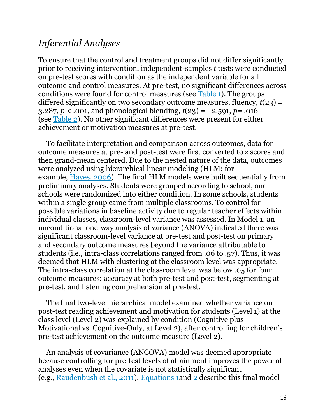### *Inferential Analyses*

To ensure that the control and treatment groups did not differ significantly prior to receiving intervention, independent-samples *t* tests were conducted on pre-test scores with condition as the independent variable for all outcome and control measures. At pre-test, no significant differences across conditions were found for control measures (see [Table 1\)](https://emxpert.net/sageedit/journals/Embox/Index/958128#table1). The groups differed significantly on two secondary outcome measures, fluency, *t*(23) = 3.287, *p* < .001, and phonological blending, *t*(23) = −2.591, *p*= .016 (see [Table 2\)](https://emxpert.net/sageedit/journals/Embox/Index/958128#table2). No other significant differences were present for either achievement or motivation measures at pre-test.

To facilitate interpretation and comparison across outcomes, data for outcome measures at pre- and post-test were first converted to *z* scores and then grand-mean centered. Due to the nested nature of the data, outcomes were analyzed using hierarchical linear modeling (HLM; for example, [Hayes, 2006\)](https://emxpert.net/sageedit/journals/Embox/Index/958128#bibr9). The final HLM models were built sequentially from preliminary analyses. Students were grouped according to school, and schools were randomized into either condition. In some schools, students within a single group came from multiple classrooms. To control for possible variations in baseline activity due to regular teacher effects within individual classes, classroom-level variance was assessed. In Model 1, an unconditional one-way analysis of variance (ANOVA) indicated there was significant classroom-level variance at pre-test and post-test on primary and secondary outcome measures beyond the variance attributable to students (i.e., intra-class correlations ranged from .06 to .57). Thus, it was deemed that HLM with clustering at the classroom level was appropriate. The intra-class correlation at the classroom level was below .05 for four outcome measures: accuracy at both pre-test and post-test, segmenting at pre-test, and listening comprehension at pre-test.

The final two-level hierarchical model examined whether variance on post-test reading achievement and motivation for students (Level 1) at the class level (Level 2) was explained by condition (Cognitive plus Motivational vs. Cognitive-Only, at Level 2), after controlling for children's pre-test achievement on the outcome measure (Level 2).

An analysis of covariance (ANCOVA) model was deemed appropriate because controlling for pre-test levels of attainment improves the power of analyses even when the covariate is not statistically significant (e.g., [Raudenbush et al., 2011\)](https://emxpert.net/sageedit/journals/Embox/Index/958128#bibr19). [Equations 1a](https://emxpert.net/sageedit/journals/Embox/Index/958128#disp-formula1)nd [2](https://emxpert.net/sageedit/journals/Embox/Index/958128#disp-formula2) describe this final model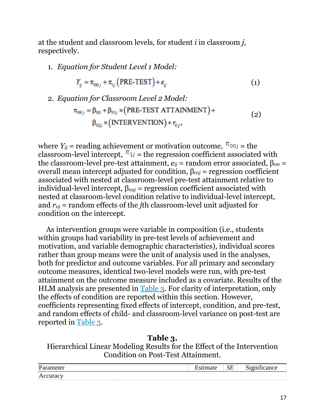at the student and classroom levels, for student *i* in classroom *j*, respectively.

1. *Equation for Student Level 1 Model:*

$$
Y_{ij} = \pi_{00j} + \pi_{1j} \left( \text{PRE-TEST} \right) + e_{ij} \tag{1}
$$

2. *Equation for Classroom Level 2 Model:*  $\pi_{00j} = \beta_{00} + \beta_{01j} \times (PRE-TEST ATTAINMENT) +$  (2)  $\beta_{02j}$  × (INTERVENTION) +  $r_{0j}$ ,

where  $Y_{ij}$  = reading achievement or motivation outcome,  $\pi_{00j}$  = the classroom-level intercept,  $\pi_{1j}$  = the regression coefficient associated with the classroom-level pre-test attainment,  $e_{ij}$  = random error associated,  $β_{00}$  = overall mean intercept adjusted for condition,  $\beta_{01j}$  = regression coefficient associated with nested at classroom-level pre-test attainment relative to individual-level intercept,  $\beta_{02j}$  = regression coefficient associated with nested at classroom-level condition relative to individual-level intercept, and  $r_{0j}$  = random effects of the *j*th classroom-level unit adjusted for condition on the intercept.

As intervention groups were variable in composition (i.e., students within groups had variability in pre-test levels of achievement and motivation, and variable demographic characteristics), individual scores rather than group means were the unit of analysis used in the analyses, both for predictor and outcome variables. For all primary and secondary outcome measures, identical two-level models were run, with pre-test attainment on the outcome measure included as a covariate. Results of the HLM analysis are presented in [Table 3.](https://emxpert.net/sageedit/journals/Embox/Index/958128#table3) For clarity of interpretation, only the effects of condition are reported within this section. However, coefficients representing fixed effects of intercept, condition, and pre-test, and random effects of child- and classroom-level variance on post-test are reported in [Table 3.](https://emxpert.net/sageedit/journals/Embox/Index/958128#table3)

#### **Table 3.**

Hierarchical Linear Modeling Results for the Effect of the Intervention Condition on Post-Test Attainment.

| arameter         | <b>Hail</b> | عدت | $\sim$<br>$\sim$ |  |
|------------------|-------------|-----|------------------|--|
| <i>L L L L L</i> |             |     |                  |  |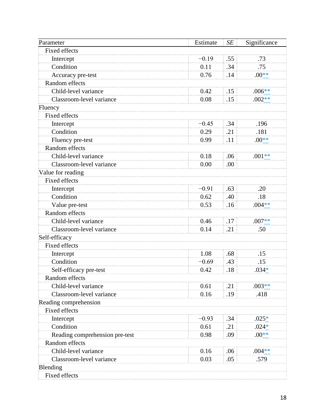| Parameter                      | Estimate | SE  | Significance |
|--------------------------------|----------|-----|--------------|
| Fixed effects                  |          |     |              |
| Intercept                      | $-0.19$  | .55 | .73          |
| Condition                      | 0.11     | .34 | .75          |
| Accuracy pre-test              | 0.76     | .14 | $.00**$      |
| Random effects                 |          |     |              |
| Child-level variance           | 0.42     | .15 | $.006**$     |
| Classroom-level variance       | 0.08     | .15 | $.002**$     |
| Fluency                        |          |     |              |
| Fixed effects                  |          |     |              |
| Intercept                      | $-0.45$  | .34 | .196         |
| Condition                      | 0.29     | .21 | .181         |
| Fluency pre-test               | 0.99     | .11 | $.00**$      |
| Random effects                 |          |     |              |
| Child-level variance           | 0.18     | .06 | $.001**$     |
| Classroom-level variance       | 0.00     | .00 |              |
| Value for reading              |          |     |              |
| <b>Fixed effects</b>           |          |     |              |
| Intercept                      | $-0.91$  | .63 | .20          |
| Condition                      | 0.62     | .40 | .18          |
| Value pre-test                 | 0.53     | .16 | $.004**$     |
| Random effects                 |          |     |              |
| Child-level variance           | 0.46     | .17 | $.007**$     |
| Classroom-level variance       | 0.14     | .21 | .50          |
| Self-efficacy                  |          |     |              |
| <b>Fixed effects</b>           |          |     |              |
| Intercept                      | 1.08     | .68 | .15          |
| Condition                      | $-0.69$  | .43 | .15          |
| Self-efficacy pre-test         | 0.42     | .18 | $.034*$      |
| Random effects                 |          |     |              |
| Child-level variance           | 0.61     | .21 | $.003**$     |
| Classroom-level variance       | 0.16     | .19 | .418         |
| Reading comprehension          |          |     |              |
| <b>Fixed effects</b>           |          |     |              |
| Intercept                      | $-0.93$  | .34 | $.025*$      |
| Condition                      | 0.61     | .21 | $.024*$      |
| Reading comprehension pre-test | 0.98     | .09 | $.00**$      |
| Random effects                 |          |     |              |
| Child-level variance           | 0.16     | .06 | $.004**$     |
| Classroom-level variance       | 0.03     | .05 | .579         |
| Blending                       |          |     |              |
| Fixed effects                  |          |     |              |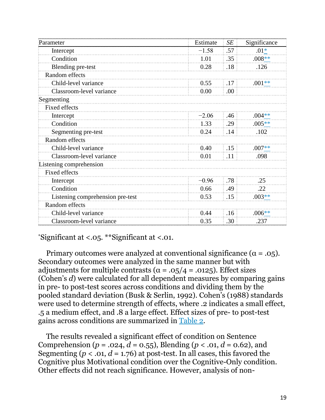| Parameter                        | Estimate | SE  | Significance |
|----------------------------------|----------|-----|--------------|
| Intercept                        | $-1.58$  | .57 | $.01*$       |
| Condition                        | 1.01     | .35 | $.008**$     |
| <b>Blending</b> pre-test         | 0.28     | .18 | .126         |
| Random effects                   |          |     |              |
| Child-level variance             | 0.55     | .17 | $.001**$     |
| Classroom-level variance         | 0.00     | .00 |              |
| Segmenting                       |          |     |              |
| Fixed effects                    |          |     |              |
| Intercept                        | $-2.06$  | .46 | $.004**$     |
| Condition                        | 1.33     | .29 | $.005**$     |
| Segmenting pre-test              | 0.24     | .14 | .102         |
| Random effects                   |          |     |              |
| Child-level variance             | 0.40     | .15 | $.007**$     |
| Classroom-level variance         | 0.01     | .11 | .098         |
| Listening comprehension          |          |     |              |
| Fixed effects                    |          |     |              |
| Intercept                        | $-0.96$  | .78 | .25          |
| Condition                        | 0.66     | .49 | .22          |
| Listening comprehension pre-test | 0.53     | .15 | $.003**$     |
| Random effects                   |          |     |              |
| Child-level variance             | 0.44     | .16 | $.006**$     |
| Classroom-level variance         | 0.35     | .30 | .237         |

\*Significant at <.05. \*\*Significant at <.01.

Primary outcomes were analyzed at conventional significance  $(\alpha = .05)$ . Secondary outcomes were analyzed in the same manner but with adjustments for multiple contrasts ( $\alpha = .05/4 = .0125$ ). Effect sizes (Cohen's *d*) were calculated for all dependent measures by comparing gains in pre- to post-test scores across conditions and dividing them by the pooled standard deviation (Busk & Serlin, 1992). Cohen's (1988) standards were used to determine strength of effects, where .2 indicates a small effect, .5 a medium effect, and .8 a large effect. Effect sizes of pre- to post-test gains across conditions are summarized in [Table 2.](https://emxpert.net/sageedit/journals/Embox/Index/958128#table2)

The results revealed a significant effect of condition on Sentence Comprehension ( $p = .024$ ,  $d = 0.55$ ), Blending ( $p < .01$ ,  $d = 0.62$ ), and Segmenting  $(p < .01, d = 1.76)$  at post-test. In all cases, this favored the Cognitive plus Motivational condition over the Cognitive-Only condition. Other effects did not reach significance. However, analysis of non-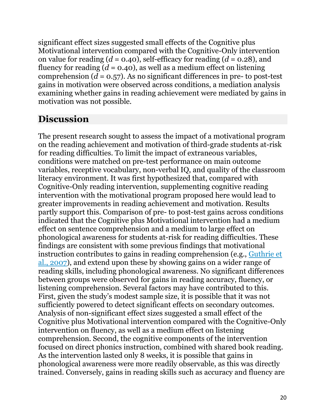significant effect sizes suggested small effects of the Cognitive plus Motivational intervention compared with the Cognitive-Only intervention on value for reading  $(d = 0.40)$ , self-efficacy for reading  $(d = 0.28)$ , and fluency for reading  $(d = 0.40)$ , as well as a medium effect on listening comprehension  $(d = 0.57)$ . As no significant differences in pre- to post-test gains in motivation were observed across conditions, a mediation analysis examining whether gains in reading achievement were mediated by gains in motivation was not possible.

# **Discussion**

The present research sought to assess the impact of a motivational program on the reading achievement and motivation of third-grade students at-risk for reading difficulties. To limit the impact of extraneous variables, conditions were matched on pre-test performance on main outcome variables, receptive vocabulary, non-verbal IQ, and quality of the classroom literacy environment. It was first hypothesized that, compared with Cognitive-Only reading intervention, supplementing cognitive reading intervention with the motivational program proposed here would lead to greater improvements in reading achievement and motivation. Results partly support this. Comparison of pre- to post-test gains across conditions indicated that the Cognitive plus Motivational intervention had a medium effect on sentence comprehension and a medium to large effect on phonological awareness for students at-risk for reading difficulties. These findings are consistent with some previous findings that motivational instruction contributes to gains in reading comprehension (e.g., [Guthrie et](https://emxpert.net/sageedit/journals/Embox/Index/958128#bibr6)  [al., 2007\)](https://emxpert.net/sageedit/journals/Embox/Index/958128#bibr6), and extend upon these by showing gains on a wider range of reading skills, including phonological awareness. No significant differences between groups were observed for gains in reading accuracy, fluency, or listening comprehension. Several factors may have contributed to this. First, given the study's modest sample size, it is possible that it was not sufficiently powered to detect significant effects on secondary outcomes. Analysis of non-significant effect sizes suggested a small effect of the Cognitive plus Motivational intervention compared with the Cognitive-Only intervention on fluency, as well as a medium effect on listening comprehension. Second, the cognitive components of the intervention focused on direct phonics instruction, combined with shared book reading. As the intervention lasted only 8 weeks, it is possible that gains in phonological awareness were more readily observable, as this was directly trained. Conversely, gains in reading skills such as accuracy and fluency are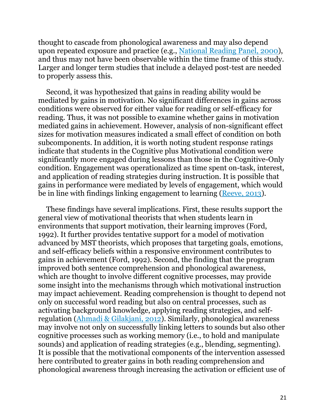thought to cascade from phonological awareness and may also depend upon repeated exposure and practice (e.g., [National Reading Panel, 2000\)](https://emxpert.net/sageedit/journals/Embox/Index/958128#bibr17), and thus may not have been observable within the time frame of this study. Larger and longer term studies that include a delayed post-test are needed to properly assess this.

Second, it was hypothesized that gains in reading ability would be mediated by gains in motivation. No significant differences in gains across conditions were observed for either value for reading or self-efficacy for reading. Thus, it was not possible to examine whether gains in motivation mediated gains in achievement. However, analysis of non-significant effect sizes for motivation measures indicated a small effect of condition on both subcomponents. In addition, it is worth noting student response ratings indicate that students in the Cognitive plus Motivational condition were significantly more engaged during lessons than those in the Cognitive-Only condition. Engagement was operationalized as time spent on-task, interest, and application of reading strategies during instruction. It is possible that gains in performance were mediated by levels of engagement, which would be in line with findings linking engagement to learning [\(Reeve, 2013\)](https://emxpert.net/sageedit/journals/Embox/Index/958128#bibr20).

These findings have several implications. First, these results support the general view of motivational theorists that when students learn in environments that support motivation, their learning improves (Ford, 1992). It further provides tentative support for a model of motivation advanced by MST theorists, which proposes that targeting goals, emotions, and self-efficacy beliefs within a responsive environment contributes to gains in achievement (Ford, 1992). Second, the finding that the program improved both sentence comprehension and phonological awareness, which are thought to involve different cognitive processes, may provide some insight into the mechanisms through which motivational instruction may impact achievement. Reading comprehension is thought to depend not only on successful word reading but also on central processes, such as activating background knowledge, applying reading strategies, and selfregulation [\(Ahmadi & Gilakjani, 2012\)](https://emxpert.net/sageedit/journals/Embox/Index/958128#bibr1). Similarly, phonological awareness may involve not only on successfully linking letters to sounds but also other cognitive processes such as working memory (i.e., to hold and manipulate sounds) and application of reading strategies (e.g., blending, segmenting). It is possible that the motivational components of the intervention assessed here contributed to greater gains in both reading comprehension and phonological awareness through increasing the activation or efficient use of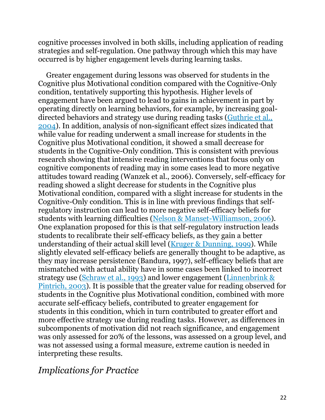cognitive processes involved in both skills, including application of reading strategies and self-regulation. One pathway through which this may have occurred is by higher engagement levels during learning tasks.

Greater engagement during lessons was observed for students in the Cognitive plus Motivational condition compared with the Cognitive-Only condition, tentatively supporting this hypothesis. Higher levels of engagement have been argued to lead to gains in achievement in part by operating directly on learning behaviors, for example, by increasing goaldirected behaviors and strategy use during reading tasks [\(Guthrie et al.,](https://emxpert.net/sageedit/journals/Embox/Index/958128#bibr7)  [2004\)](https://emxpert.net/sageedit/journals/Embox/Index/958128#bibr7). In addition, analysis of non-significant effect sizes indicated that while value for reading underwent a small increase for students in the Cognitive plus Motivational condition, it showed a small decrease for students in the Cognitive-Only condition. This is consistent with previous research showing that intensive reading interventions that focus only on cognitive components of reading may in some cases lead to more negative attitudes toward reading (Wanzek et al., 2006). Conversely, self-efficacy for reading showed a slight decrease for students in the Cognitive plus Motivational condition, compared with a slight increase for students in the Cognitive-Only condition. This is in line with previous findings that selfregulatory instruction can lead to more negative self-efficacy beliefs for students with learning difficulties [\(Nelson & Manset-Williamson, 2006\)](https://emxpert.net/sageedit/journals/Embox/Index/958128#bibr18). One explanation proposed for this is that self-regulatory instruction leads students to recalibrate their self-efficacy beliefs, as they gain a better understanding of their actual skill level [\(Kruger & Dunning, 1999\)](https://emxpert.net/sageedit/journals/Embox/Index/958128#bibr10). While slightly elevated self-efficacy beliefs are generally thought to be adaptive, as they may increase persistence (Bandura, 1997), self-efficacy beliefs that are mismatched with actual ability have in some cases been linked to incorrect strategy use [\(Schraw et al., 1993\)](https://emxpert.net/sageedit/journals/Embox/Index/958128#bibr22) and lower engagement [\(Linnenbrink &](https://emxpert.net/sageedit/journals/Embox/Index/958128#bibr11)  [Pintrich, 2003\)](https://emxpert.net/sageedit/journals/Embox/Index/958128#bibr11). It is possible that the greater value for reading observed for students in the Cognitive plus Motivational condition, combined with more accurate self-efficacy beliefs, contributed to greater engagement for students in this condition, which in turn contributed to greater effort and more effective strategy use during reading tasks. However, as differences in subcomponents of motivation did not reach significance, and engagement was only assessed for 20% of the lessons, was assessed on a group level, and was not assessed using a formal measure, extreme caution is needed in interpreting these results.

### *Implications for Practice*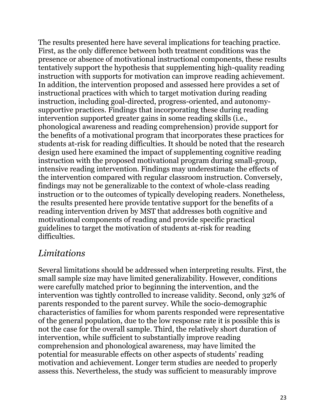The results presented here have several implications for teaching practice. First, as the only difference between both treatment conditions was the presence or absence of motivational instructional components, these results tentatively support the hypothesis that supplementing high-quality reading instruction with supports for motivation can improve reading achievement. In addition, the intervention proposed and assessed here provides a set of instructional practices with which to target motivation during reading instruction, including goal-directed, progress-oriented, and autonomysupportive practices. Findings that incorporating these during reading intervention supported greater gains in some reading skills (i.e., phonological awareness and reading comprehension) provide support for the benefits of a motivational program that incorporates these practices for students at-risk for reading difficulties. It should be noted that the research design used here examined the impact of supplementing cognitive reading instruction with the proposed motivational program during small-group, intensive reading intervention. Findings may underestimate the effects of the intervention compared with regular classroom instruction. Conversely, findings may not be generalizable to the context of whole-class reading instruction or to the outcomes of typically developing readers. Nonetheless, the results presented here provide tentative support for the benefits of a reading intervention driven by MST that addresses both cognitive and motivational components of reading and provide specific practical guidelines to target the motivation of students at-risk for reading difficulties.

### *Limitations*

Several limitations should be addressed when interpreting results. First, the small sample size may have limited generalizability. However, conditions were carefully matched prior to beginning the intervention, and the intervention was tightly controlled to increase validity. Second, only 32% of parents responded to the parent survey. While the socio-demographic characteristics of families for whom parents responded were representative of the general population, due to the low response rate it is possible this is not the case for the overall sample. Third, the relatively short duration of intervention, while sufficient to substantially improve reading comprehension and phonological awareness, may have limited the potential for measurable effects on other aspects of students' reading motivation and achievement. Longer term studies are needed to properly assess this. Nevertheless, the study was sufficient to measurably improve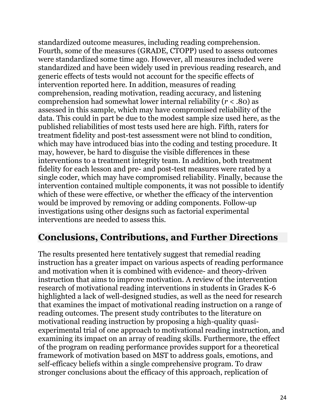standardized outcome measures, including reading comprehension. Fourth, some of the measures (GRADE, CTOPP) used to assess outcomes were standardized some time ago. However, all measures included were standardized and have been widely used in previous reading research, and generic effects of tests would not account for the specific effects of intervention reported here. In addition, measures of reading comprehension, reading motivation, reading accuracy, and listening comprehension had somewhat lower internal reliability (*r* < .80) as assessed in this sample, which may have compromised reliability of the data. This could in part be due to the modest sample size used here, as the published reliabilities of most tests used here are high. Fifth, raters for treatment fidelity and post-test assessment were not blind to condition, which may have introduced bias into the coding and testing procedure. It may, however, be hard to disguise the visible differences in these interventions to a treatment integrity team. In addition, both treatment fidelity for each lesson and pre- and post-test measures were rated by a single coder, which may have compromised reliability. Finally, because the intervention contained multiple components, it was not possible to identify which of these were effective, or whether the efficacy of the intervention would be improved by removing or adding components. Follow-up investigations using other designs such as factorial experimental interventions are needed to assess this.

# **Conclusions, Contributions, and Further Directions**

The results presented here tentatively suggest that remedial reading instruction has a greater impact on various aspects of reading performance and motivation when it is combined with evidence- and theory-driven instruction that aims to improve motivation. A review of the intervention research of motivational reading interventions in students in Grades K-6 highlighted a lack of well-designed studies, as well as the need for research that examines the impact of motivational reading instruction on a range of reading outcomes. The present study contributes to the literature on motivational reading instruction by proposing a high-quality quasiexperimental trial of one approach to motivational reading instruction, and examining its impact on an array of reading skills. Furthermore, the effect of the program on reading performance provides support for a theoretical framework of motivation based on MST to address goals, emotions, and self-efficacy beliefs within a single comprehensive program. To draw stronger conclusions about the efficacy of this approach, replication of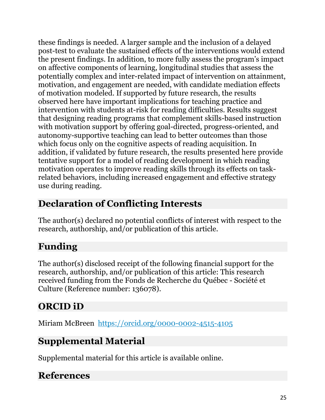these findings is needed. A larger sample and the inclusion of a delayed post-test to evaluate the sustained effects of the interventions would extend the present findings. In addition, to more fully assess the program's impact on affective components of learning, longitudinal studies that assess the potentially complex and inter-related impact of intervention on attainment, motivation, and engagement are needed, with candidate mediation effects of motivation modeled. If supported by future research, the results observed here have important implications for teaching practice and intervention with students at-risk for reading difficulties. Results suggest that designing reading programs that complement skills-based instruction with motivation support by offering goal-directed, progress-oriented, and autonomy-supportive teaching can lead to better outcomes than those which focus only on the cognitive aspects of reading acquisition. In addition, if validated by future research, the results presented here provide tentative support for a model of reading development in which reading motivation operates to improve reading skills through its effects on taskrelated behaviors, including increased engagement and effective strategy use during reading.

# **Declaration of Conflicting Interests**

The author(s) declared no potential conflicts of interest with respect to the research, authorship, and/or publication of this article.

# **Funding**

The author(s) disclosed receipt of the following financial support for the research, authorship, and/or publication of this article: This research received funding from the Fonds de Recherche du Québec - Société et Culture (Reference number: 136078).

# **ORCID iD**

Miriam McBreen [https://orcid.org/0000-0002-4515-4105](https://orcid.org/0000-0002-4515)

# **Supplemental Material**

Supplemental material for this article is available online.

# **References**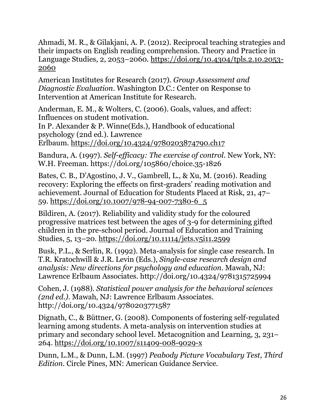Ahmadi, M. R., & Gilakjani, A. P. (2012). Reciprocal teaching strategies and their impacts on English reading comprehension. Theory and Practice in Language Studies, 2, 2053–2060. [https://doi.org/10.4304/tpls.2.10.2053-](https://doi.org/10.4304/tpls.2.10.2053) [2060](https://doi.org/10.4304/tpls.2.10.2053)

American Institutes for Research (2017). *Group Assessment and Diagnostic Evaluation*. Washington D.C.: Center on Response to Intervention at American Institute for Research.

Anderman, E. M., & Wolters, C. (2006). Goals, values, and affect: Influences on student motivation.

In P. Alexander & P. Winne(Eds.), Handbook of educational psychology (2nd ed.). Lawrence

Erlbaum. <https://doi.org/10.4324/9780203874790.ch17>

Bandura, A. (1997). *Self-efficacy: The exercise of control*. New York, NY: W.H. Freeman. https://doi.org/105860/choice.35-1826

Bates, C. B., D'Agostino, J. V., Gambrell, L., & Xu, M. (2016). Reading recovery: Exploring the effects on first-graders' reading motivation and achievement. Journal of Education for Students Placed at Risk, 21, 47– 59. [https://doi.org/10.1007/978-94-007-7380-6\\_5](https://doi.org/10.1007/978-94-007-7380-6_5)

Bildiren, A. (2017). Reliability and validity study for the coloured progressive matrices test between the ages of 3-9 for determining gifted children in the pre-school period. Journal of Education and Training Studies, 5, 13–20. <https://doi.org/10.11114/jets.v5i11.2599>

Busk, P.L., & Serlin, R. (1992). Meta-analysis for single case research. In T.R. Kratochwill & J.R. Levin (Eds.), *Single-case research design and analysis: New directions for psychology and education*. Mawah, NJ: Lawrence Erlbaum Associates. http://doi.org/10.4324/9781315725994

Cohen, J. (1988). *Statistical power analysis for the behavioral sciences (2nd ed.)*. Mawah, NJ: Lawrence Erlbaum Associates. http://doi.org/10.4324/9780203771587

Dignath, C., & Büttner, G. (2008). Components of fostering self-regulated learning among students. A meta-analysis on intervention studies at primary and secondary school level. Metacognition and Learning, 3, 231– 264. <https://doi.org/10.1007/s11409-008-9029-x>

Dunn, L.M., & Dunn, L.M. (1997) *Peabody Picture Vocabulary Test, Third Edition*. Circle Pines, MN: American Guidance Service.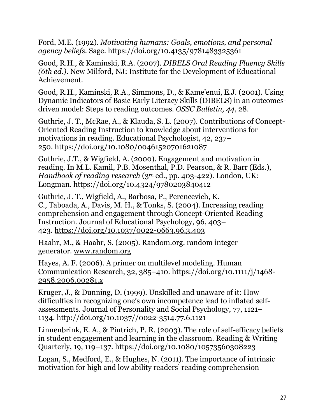Ford, M.E. (1992). *Motivating humans: Goals, emotions, and personal agency beliefs*. Sage.<https://doi.org/10.4135/9781483325361>

Good, R.H., & Kaminski, R.A. (2007). *DIBELS Oral Reading Fluency Skills (6th ed.)*. New Milford, NJ: Institute for the Development of Educational Achievement.

Good, R.H., Kaminski, R.A., Simmons, D., & Kame'enui, E.J. (2001). Using Dynamic Indicators of Basic Early Literacy Skills (DIBELS) in an outcomesdriven model: Steps to reading outcomes. *OSSC Bulletin, 44*, 28.

Guthrie, J. T., McRae, A., & Klauda, S. L. (2007). Contributions of Concept-Oriented Reading Instruction to knowledge about interventions for motivations in reading. Educational Psychologist, 42, 237– 250. <https://doi.org/10.1080/00461520701621087>

Guthrie, J.T., & Wigfield, A. (2000). Engagement and motivation in reading. In M.L. Kamil, P.B. Mosenthal, P.D. Pearson, & R. Barr (Eds.), *Handbook of reading research* (3rd ed., pp. 403-422). London, UK: Longman. https://doi.org/10.4324/9780203840412

Guthrie, J. T., Wigfield, A., Barbosa, P., Perencevich, K. C., Taboada, A., Davis, M. H., & Tonks, S. (2004). Increasing reading comprehension and engagement through Concept-Oriented Reading Instruction. Journal of Educational Psychology, 96, 403– 423. <https://doi.org/10.1037/0022-0663.96.3.403>

Haahr, M., & Haahr, S. (2005). Random.org. random integer generator. [www.random.org](http://www.random.org/)

Hayes, A. F. (2006). A primer on multilevel modeling. Human Communication Research, 32, 385–410. [https://doi.org/10.1111/j/1468-](https://doi.org/10.1111/j/1468-2958.2006.00281.x) [2958.2006.00281.x](https://doi.org/10.1111/j/1468-2958.2006.00281.x)

Kruger, J., & Dunning, D. (1999). Unskilled and unaware of it: How difficulties in recognizing one's own incompetence lead to inflated selfassessments. Journal of Personality and Social Psychology, 77, 1121– 1134. [http://doi.org/10.1037//0022-3514.77.6.1121](http://doi.org/10.1037/0022-3514.77.6.1121)

Linnenbrink, E. A., & Pintrich, P. R. (2003). The role of self-efficacy beliefs in student engagement and learning in the classroom. Reading & Writing Quarterly, 19, 119–137. <https://doi.org/10.1080/10573560308223>

Logan, S., Medford, E., & Hughes, N. (2011). The importance of intrinsic motivation for high and low ability readers' reading comprehension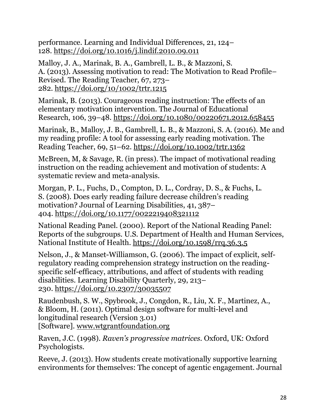performance. Learning and Individual Differences, 21, 124– 128. <https://doi.org/10.1016/j.lindif.2010.09.011>

Malloy, J. A., Marinak, B. A., Gambrell, L. B., & Mazzoni, S. A. (2013). Assessing motivation to read: The Motivation to Read Profile– Revised. The Reading Teacher, 67, 273– 282. <https://doi.org/10/1002/trtr.1215>

Marinak, B. (2013). Courageous reading instruction: The effects of an elementary motivation intervention. The Journal of Educational Research, 106, 39–48. <https://doi.org/10.1080/00220671.2012.658455>

Marinak, B., Malloy, J. B., Gambrell, L. B., & Mazzoni, S. A. (2016). Me and my reading profile: A tool for assessing early reading motivation. The Reading Teacher, 69, 51–62. <https://doi.org/10.1002/trtr.1362>

McBreen, M, & Savage, R. (in press). The impact of motivational reading instruction on the reading achievement and motivation of students: A systematic review and meta-analysis.

Morgan, P. L., Fuchs, D., Compton, D. L., Cordray, D. S., & Fuchs, L. S. (2008). Does early reading failure decrease children's reading motivation? Journal of Learning Disabilities, 41, 387– 404. <https://doi.org/10.1177/0022219408321112>

National Reading Panel. (2000). Report of the National Reading Panel: Reports of the subgroups. U.S. Department of Health and Human Services, National Institute of Health. <https://doi.org/10.1598/rrq.36.3.5>

Nelson, J., & Manset-Williamson, G. (2006). The impact of explicit, selfregulatory reading comprehension strategy instruction on the readingspecific self-efficacy, attributions, and affect of students with reading disabilities. Learning Disability Quarterly, 29, 213– 230. <https://doi.org/10.2307/30035507>

Raudenbush, S. W., Spybrook, J., Congdon, R., Liu, X. F., Martinez, A., & Bloom, H. (2011). Optimal design software for multi-level and longitudinal research (Version 3.01) [Software]. [www.wtgrantfoundation.org](http://www.wtgrantfoundation.org/)

Raven, J.C. (1998). *Raven's progressive matrices*. Oxford, UK: Oxford Psychologists.

Reeve, J. (2013). How students create motivationally supportive learning environments for themselves: The concept of agentic engagement. Journal